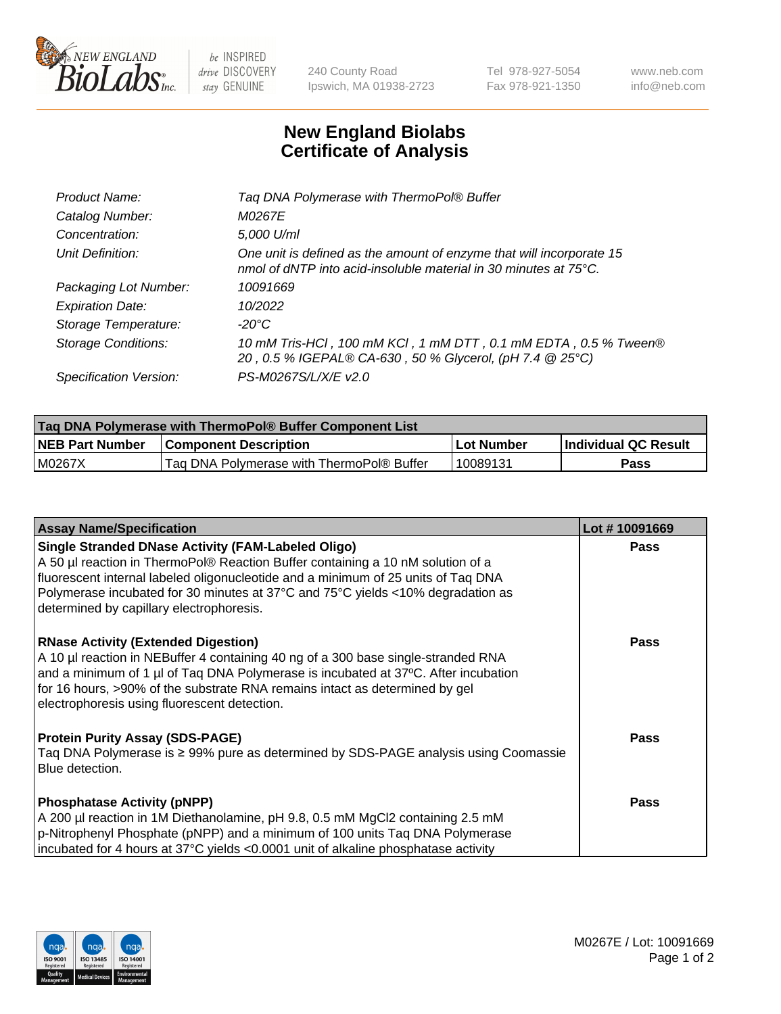

 $be$  INSPIRED drive DISCOVERY stay GENUINE

240 County Road Ipswich, MA 01938-2723 Tel 978-927-5054 Fax 978-921-1350 www.neb.com info@neb.com

## **New England Biolabs Certificate of Analysis**

| Product Name:              | Tag DNA Polymerase with ThermoPol® Buffer                                                                                                |
|----------------------------|------------------------------------------------------------------------------------------------------------------------------------------|
| Catalog Number:            | M0267E                                                                                                                                   |
| Concentration:             | 5,000 U/ml                                                                                                                               |
| Unit Definition:           | One unit is defined as the amount of enzyme that will incorporate 15<br>nmol of dNTP into acid-insoluble material in 30 minutes at 75°C. |
| Packaging Lot Number:      | 10091669                                                                                                                                 |
| <b>Expiration Date:</b>    | 10/2022                                                                                                                                  |
| Storage Temperature:       | $-20^{\circ}$ C                                                                                                                          |
| <b>Storage Conditions:</b> | 10 mM Tris-HCl, 100 mM KCl, 1 mM DTT, 0.1 mM EDTA, 0.5 % Tween®<br>20, 0.5 % IGEPAL® CA-630, 50 % Glycerol, (pH 7.4 @ 25°C)              |
| Specification Version:     | PS-M0267S/L/X/E v2.0                                                                                                                     |

| <b>Tag DNA Polymerase with ThermoPol® Buffer Component List</b> |                                           |            |                      |  |
|-----------------------------------------------------------------|-------------------------------------------|------------|----------------------|--|
| <b>NEB Part Number</b>                                          | <b>Component Description</b>              | Lot Number | Individual QC Result |  |
| M0267X                                                          | Tag DNA Polymerase with ThermoPol® Buffer | 10089131   | Pass                 |  |

| <b>Assay Name/Specification</b>                                                                                                                                                                                                                                                                                                                                   | Lot #10091669 |
|-------------------------------------------------------------------------------------------------------------------------------------------------------------------------------------------------------------------------------------------------------------------------------------------------------------------------------------------------------------------|---------------|
| <b>Single Stranded DNase Activity (FAM-Labeled Oligo)</b><br>A 50 µl reaction in ThermoPol® Reaction Buffer containing a 10 nM solution of a<br>fluorescent internal labeled oligonucleotide and a minimum of 25 units of Taq DNA<br>Polymerase incubated for 30 minutes at 37°C and 75°C yields <10% degradation as<br>determined by capillary electrophoresis.  | <b>Pass</b>   |
| <b>RNase Activity (Extended Digestion)</b><br>A 10 µl reaction in NEBuffer 4 containing 40 ng of a 300 base single-stranded RNA<br>and a minimum of 1 $\mu$ of Taq DNA Polymerase is incubated at 37 $\degree$ C. After incubation<br>for 16 hours, >90% of the substrate RNA remains intact as determined by gel<br>electrophoresis using fluorescent detection. | <b>Pass</b>   |
| <b>Protein Purity Assay (SDS-PAGE)</b><br>Taq DNA Polymerase is ≥ 99% pure as determined by SDS-PAGE analysis using Coomassie<br>Blue detection.                                                                                                                                                                                                                  | <b>Pass</b>   |
| <b>Phosphatase Activity (pNPP)</b><br>A 200 µl reaction in 1M Diethanolamine, pH 9.8, 0.5 mM MgCl2 containing 2.5 mM<br>p-Nitrophenyl Phosphate (pNPP) and a minimum of 100 units Taq DNA Polymerase<br>incubated for 4 hours at 37°C yields <0.0001 unit of alkaline phosphatase activity                                                                        | <b>Pass</b>   |